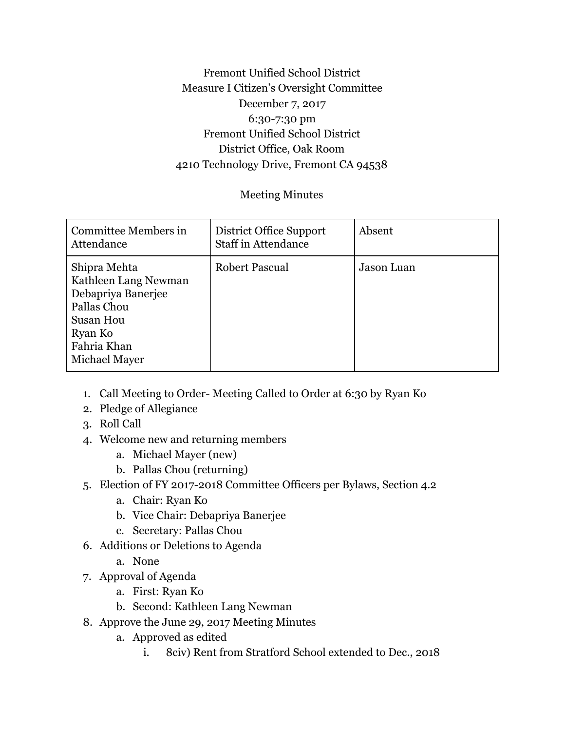## Fremont Unified School District Measure I Citizen's Oversight Committee December 7, 2017 6:30-7:30 pm Fremont Unified School District District Office, Oak Room 4210 Technology Drive, Fremont CA 94538

## Meeting Minutes

| Committee Members in<br>Attendance                                                                                                       | District Office Support<br><b>Staff in Attendance</b> | Absent     |
|------------------------------------------------------------------------------------------------------------------------------------------|-------------------------------------------------------|------------|
| Shipra Mehta<br>Kathleen Lang Newman<br>Debapriya Banerjee<br>Pallas Chou<br><b>Susan Hou</b><br>Ryan Ko<br>Fahria Khan<br>Michael Mayer | <b>Robert Pascual</b>                                 | Jason Luan |

- 1. Call Meeting to Order- Meeting Called to Order at 6:30 by Ryan Ko
- 2. Pledge of Allegiance
- 3. Roll Call
- 4. Welcome new and returning members
	- a. Michael Mayer (new)
	- b. Pallas Chou (returning)
- 5. Election of FY 2017-2018 Committee Officers per Bylaws, Section 4.2
	- a. Chair: Ryan Ko
	- b. Vice Chair: Debapriya Banerjee
	- c. Secretary: Pallas Chou
- 6. Additions or Deletions to Agenda
	- a. None
- 7. Approval of Agenda
	- a. First: Ryan Ko
	- b. Second: Kathleen Lang Newman
- 8. Approve the June 29, 2017 Meeting Minutes
	- a. Approved as edited
		- i. 8civ) Rent from Stratford School extended to Dec., 2018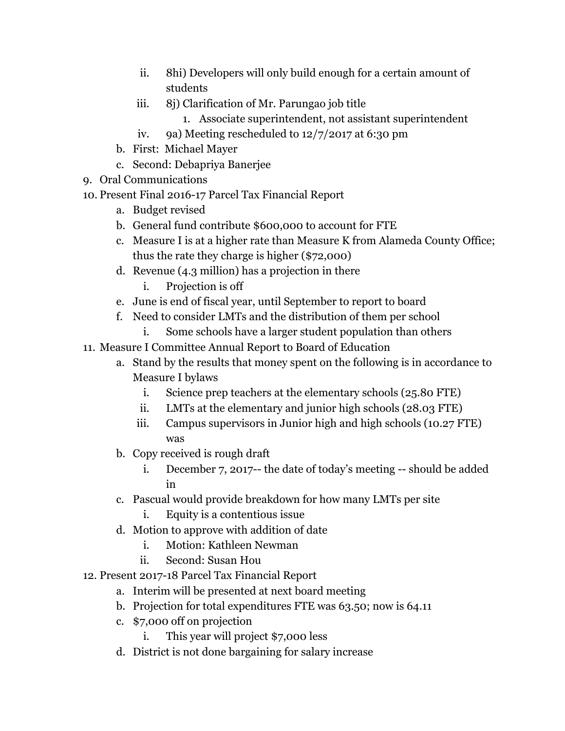- ii. 8hi) Developers will only build enough for a certain amount of students
- iii. 8j) Clarification of Mr. Parungao job title
	- 1. Associate superintendent, not assistant superintendent
- iv. 9a) Meeting rescheduled to 12/7/2017 at 6:30 pm
- b. First: Michael Mayer
- c. Second: Debapriya Banerjee
- 9. Oral Communications
- 10. Present Final 2016-17 Parcel Tax Financial Report
	- a. Budget revised
	- b. General fund contribute \$600,000 to account for FTE
	- c. Measure I is at a higher rate than Measure K from Alameda County Office; thus the rate they charge is higher (\$72,000)
	- d. Revenue (4.3 million) has a projection in there
		- i. Projection is off
	- e. June is end of fiscal year, until September to report to board
	- f. Need to consider LMTs and the distribution of them per school
		- i. Some schools have a larger student population than others
- 11. Measure I Committee Annual Report to Board of Education
	- a. Stand by the results that money spent on the following is in accordance to Measure I bylaws
		- i. Science prep teachers at the elementary schools (25.80 FTE)
		- ii. LMTs at the elementary and junior high schools (28.03 FTE)
		- iii. Campus supervisors in Junior high and high schools (10.27 FTE) was
	- b. Copy received is rough draft
		- i. December 7, 2017-- the date of today's meeting -- should be added in
	- c. Pascual would provide breakdown for how many LMTs per site
		- i. Equity is a contentious issue
	- d. Motion to approve with addition of date
		- i. Motion: Kathleen Newman
		- ii. Second: Susan Hou
- 12. Present 2017-18 Parcel Tax Financial Report
	- a. Interim will be presented at next board meeting
	- b. Projection for total expenditures FTE was 63.50; now is 64.11
	- c. \$7,000 off on projection
		- i. This year will project \$7,000 less
	- d. District is not done bargaining for salary increase